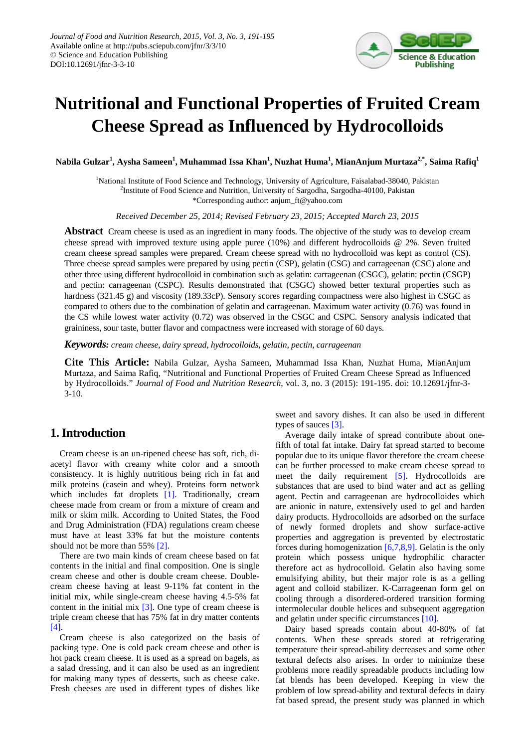

# **Nutritional and Functional Properties of Fruited Cream Cheese Spread as Influenced by Hydrocolloids**

 $N$ abila Gulzar $^1$ , Aysha Sameen $^1$ , Muhammad Issa Khan $^1$ , Nuzhat Huma $^1$ , MianAnjum Murtaza $^{2, *},$  Saima Rafiq $^1$ 

<sup>1</sup>National Institute of Food Science and Technology, University of Agriculture, Faisalabad-38040, Pakistan <sup>2</sup>Institute of Food Science and Nutrition, University of Sargodha, Sargodha-40100, Pakistan \*Corresponding author: anjum\_ft@yahoo.com

*Received December 25, 2014; Revised February 23, 2015; Accepted March 23, 2015*

**Abstract** Cream cheese is used as an ingredient in many foods. The objective of the study was to develop cream cheese spread with improved texture using apple puree (10%) and different hydrocolloids @ 2%. Seven fruited cream cheese spread samples were prepared. Cream cheese spread with no hydrocolloid was kept as control (CS). Three cheese spread samples were prepared by using pectin (CSP), gelatin (CSG) and carrageenan (CSC) alone and other three using different hydrocolloid in combination such as gelatin: carrageenan (CSGC), gelatin: pectin (CSGP) and pectin: carrageenan (CSPC). Results demonstrated that (CSGC) showed better textural properties such as hardness (321.45 g) and viscosity (189.33cP). Sensory scores regarding compactness were also highest in CSGC as compared to others due to the combination of gelatin and carrageenan. Maximum water activity (0.76) was found in the CS while lowest water activity (0.72) was observed in the CSGC and CSPC. Sensory analysis indicated that graininess, sour taste, butter flavor and compactness were increased with storage of 60 days.

*Keywords: cream cheese, dairy spread, hydrocolloids, gelatin, pectin, carrageenan*

**Cite This Article:** Nabila Gulzar, Aysha Sameen, Muhammad Issa Khan, Nuzhat Huma, MianAnjum Murtaza, and Saima Rafiq, "Nutritional and Functional Properties of Fruited Cream Cheese Spread as Influenced by Hydrocolloids." *Journal of Food and Nutrition Research*, vol. 3, no. 3 (2015): 191-195. doi: 10.12691/jfnr-3-  $3-10.$ 

# **1. Introduction**

Cream cheese is an un-ripened cheese has soft, rich, diacetyl flavor with creamy white color and a smooth consistency. It is highly nutritious being rich in fat and milk proteins (casein and whey). Proteins form network which includes fat droplets [\[1\].](#page-4-0) Traditionally, cream cheese made from cream or from a mixture of cream and milk or skim milk. According to United States, the Food and Drug Administration (FDA) regulations cream cheese must have at least 33% fat but the moisture contents should not be more than 55% [2].

There are two main kinds of cream cheese based on fat contents in the initial and final composition. One is single cream cheese and other is double cream cheese. Doublecream cheese having at least 9-11% fat content in the initial mix, while single-cream cheese having 4.5-5% fat content in the initial mix [\[3\].](#page-4-2) One type of cream cheese is triple cream cheese that has 75% fat in dry matter contents [\[4\].](#page-4-3)

Cream cheese is also categorized on the basis of packing type. One is cold pack cream cheese and other is hot pack cream cheese. It is used as a spread on bagels, as a salad dressing, and it can also be used as an ingredient for making many types of desserts, such as cheese cake. Fresh cheeses are used in different types of dishes like

sweet and savory dishes. It can also be used in different types of sauces [\[3\].](#page-4-2)

Average daily intake of spread contribute about onefifth of total fat intake. Dairy fat spread started to become popular due to its unique flavor therefore the cream cheese can be further processed to make cream cheese spread to meet the daily requirement [\[5\].](#page-4-4) Hydrocolloids are substances that are used to bind water and act as gelling agent. Pectin and carrageenan are hydrocolloides which are anionic in nature, extensively used to gel and harden dairy products. Hydrocolloids are adsorbed on the surface of newly formed droplets and show surface-active properties and aggregation is prevented by electrostatic forces during homogenization [\[6,7,8,9\].](#page-4-5) Gelatin is the only protein which possess unique hydrophilic character therefore act as hydrocolloid. Gelatin also having some emulsifying ability, but their major role is as a gelling agent and colloid stabilizer. K-Carrageenan form gel on cooling through a disordered-ordered transition forming intermolecular double helices and subsequent aggregation and gelatin under specific circumstances [\[10\].](#page-4-6)

Dairy based spreads contain about 40-80% of fat contents. When these spreads stored at refrigerating temperature their spread-ability decreases and some other textural defects also arises. In order to minimize these problems more readily spreadable products including low fat blends has been developed. Keeping in view the problem of low spread-ability and textural defects in dairy fat based spread, the present study was planned in which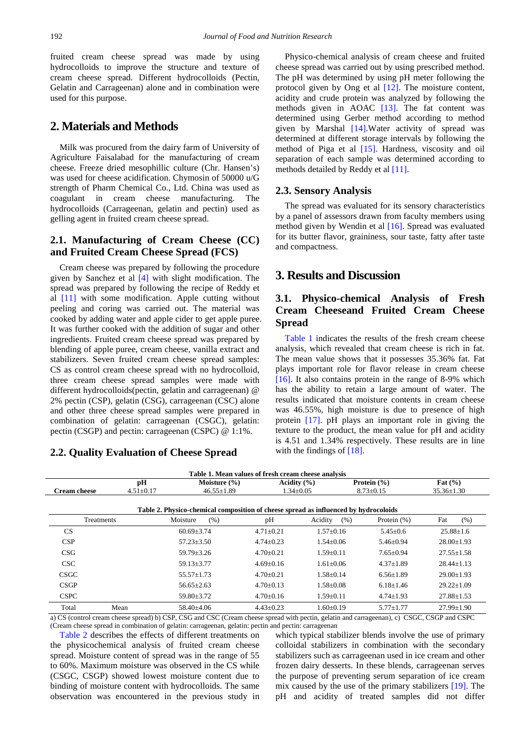fruited cream cheese spread was made by using hydrocolloids to improve the structure and texture of cream cheese spread. Different hydrocolloids (Pectin, Gelatin and Carrageenan) alone and in combination were used for this purpose.

## **2. Materials and Methods**

Milk was procured from the dairy farm of University of Agriculture Faisalabad for the manufacturing of cream cheese. Freeze dried mesophillic culture (Chr. Hansen's) was used for cheese acidification. Chymosin of 50000 u/G strength of Pharm Chemical Co., Ltd. China was used as coagulant in cream cheese manufacturing. The hydrocolloids (Carrageenan, gelatin and pectin) used as gelling agent in fruited cream cheese spread.

## **2.1. Manufacturing of Cream Cheese (CC) and Fruited Cream Cheese Spread (FCS)**

Cream cheese was prepared by following the procedure given by Sanchez et al [\[4\]](#page-4-3) with slight modification. The spread was prepared by following the recipe of Reddy et al [\[11\]](#page-4-7) with some modification. Apple cutting without peeling and coring was carried out. The material was cooked by adding water and apple cider to get apple puree. It was further cooked with the addition of sugar and other ingredients. Fruited cream cheese spread was prepared by blending of apple puree, cream cheese, vanilla extract and stabilizers. Seven fruited cream cheese spread samples: CS as control cream cheese spread with no hydrocolloid, three cream cheese spread samples were made with different hydrocolloids(pectin, gelatin and carrageenan) @ 2% pectin (CSP), gelatin (CSG), carrageenan (CSC) alone and other three cheese spread samples were prepared in combination of gelatin: carrageenan (CSGC), gelatin: pectin (CSGP) and pectin: carrageenan (CSPC) @ 1:1%.

## **2.2. Quality Evaluation of Cheese Spread**

Physico-chemical analysis of cream cheese and fruited cheese spread was carried out by using prescribed method. The pH was determined by using pH meter following the protocol given by Ong et al [\[12\].](#page-4-8) The moisture content, acidity and crude protein was analyzed by following the methods given in AOAC [\[13\].](#page-4-9) The fat content was determined using Gerber method according to method given by Marshal [\[14\].](#page-4-10)Water activity of spread was determined at different storage intervals by following the method of Piga et al [\[15\].](#page-4-11) Hardness, viscosity and oil separation of each sample was determined according to methods detailed by Reddy et al [\[11\].](#page-4-7)

#### **2.3. Sensory Analysis**

The spread was evaluated for its sensory characteristics by a panel of assessors drawn from faculty members using method given by Wendin et al [\[16\].](#page-4-12) Spread was evaluated for its butter flavor, graininess, sour taste, fatty after taste and compactness.

## **3. Results and Discussion**

# **3.1. Physico-chemical Analysis of Fresh Cream Cheeseand Fruited Cream Cheese Spread**

[Table 1](#page-1-0) indicates the results of the fresh cream cheese analysis, which revealed that cream cheese is rich in fat. The mean value shows that it possesses 35.36% fat. Fat plays important role for flavor release in cream cheese [\[16\].](#page-4-12) It also contains protein in the range of 8-9% which has the ability to retain a large amount of water. The results indicated that moisture contents in cream cheese was 46.55%, high moisture is due to presence of high protein [\[17\].](#page-4-13) pH plays an important role in giving the texture to the product, the mean value for pH and acidity is 4.51 and 1.34% respectively. These results are in line with the findings of [\[18\].](#page-4-14)

<span id="page-1-1"></span><span id="page-1-0"></span>

| Table 1. Mean values of fresh cream cheese analysis                                  |                 |                  |                 |                 |                 |                  |  |  |  |  |  |
|--------------------------------------------------------------------------------------|-----------------|------------------|-----------------|-----------------|-----------------|------------------|--|--|--|--|--|
|                                                                                      | pН              | Moisture $(\% )$ | Acidity $(\% )$ |                 | Protein $(\% )$ | Fat $(\% )$      |  |  |  |  |  |
| <b>Cream cheese</b>                                                                  | $4.51 \pm 0.17$ | $46.55 \pm 1.89$ |                 | $1.34 \pm 0.05$ | $8.73 \pm 0.15$ | $35.36 \pm 1.30$ |  |  |  |  |  |
|                                                                                      |                 |                  |                 |                 |                 |                  |  |  |  |  |  |
| Table 2. Physico-chemical composition of cheese spread as influenced by hydrocoloids |                 |                  |                 |                 |                 |                  |  |  |  |  |  |
| <b>Treatments</b>                                                                    |                 | Moisture<br>(% ) | pH              | Acidity<br>(% ) | Protein $(\%)$  | (% )<br>Fat      |  |  |  |  |  |
| CS.                                                                                  |                 | $60.69 + 3.74$   | $4.71 \pm 0.21$ | $1.57+0.16$     | $5.45 \pm 0.6$  | $25.88 \pm 1.6$  |  |  |  |  |  |
| CSP                                                                                  |                 | $57.23 + 3.50$   | $4.74 + 0.23$   | $1.54 + 0.06$   | $5.46 + 0.94$   | $28.00 \pm 1.93$ |  |  |  |  |  |
| CSG                                                                                  |                 | $59.79 + 3.26$   | $4.70+0.21$     | $1.59 + 0.11$   | $7.65 + 0.94$   | $27.55 \pm 1.58$ |  |  |  |  |  |
| CSC                                                                                  |                 | $59.13 \pm 3.77$ | $4.69 \pm 0.16$ | $1.61 \pm 0.06$ | $4.37 \pm 1.89$ | $28.44 \pm 1.13$ |  |  |  |  |  |
| <b>CSGC</b>                                                                          |                 | $55.57 \pm 1.73$ | $4.70+0.21$     | $1.58 + 0.14$   | $6.56 \pm 1.89$ | $29.00 \pm 1.93$ |  |  |  |  |  |
| <b>CSGP</b>                                                                          |                 | $56.65 + 2.63$   | $4.70 + 0.13$   | $1.58 \pm 0.08$ | $6.18 + 1.46$   | $29.22 \pm 1.09$ |  |  |  |  |  |
| <b>CSPC</b>                                                                          |                 | $59.80 \pm 3.72$ | $4.70 \pm 0.16$ | $1.59 \pm 0.11$ | $4.74 \pm 1.93$ | $27.88 \pm 1.53$ |  |  |  |  |  |
| Total                                                                                | Mean            | $58.40\pm4.06$   | $4.43 \pm 0.23$ | $1.60 \pm 0.19$ | $5.77 + 1.77$   | $27.99 \pm 1.90$ |  |  |  |  |  |

a) CS (control cream cheese spread) b) CSP, CSG and CSC (Cream cheese spread with pectin, gelatin and carrageenan), c) CSGC, CSGP and CSPC (Cream cheese spread in combination of gelatin: carrageenan, gelatin: pectin and pectin: carrageenan

[Table 2](#page-1-1) describes the effects of different treatments on the physicochemical analysis of fruited cream cheese spread. Moisture content of spread was in the range of 55 to 60%. Maximum moisture was observed in the CS while (CSGC, CSGP) showed lowest moisture content due to binding of moisture content with hydrocolloids. The same observation was encountered in the previous study in which typical stabilizer blends involve the use of primary colloidal stabilizers in combination with the secondary stabilizers such as carrageenan used in ice cream and other frozen dairy desserts. In these blends, carrageenan serves the purpose of preventing serum separation of ice cream mix caused by the use of the primary stabilizers [\[19\].](#page-4-15) The pH and acidity of treated samples did not differ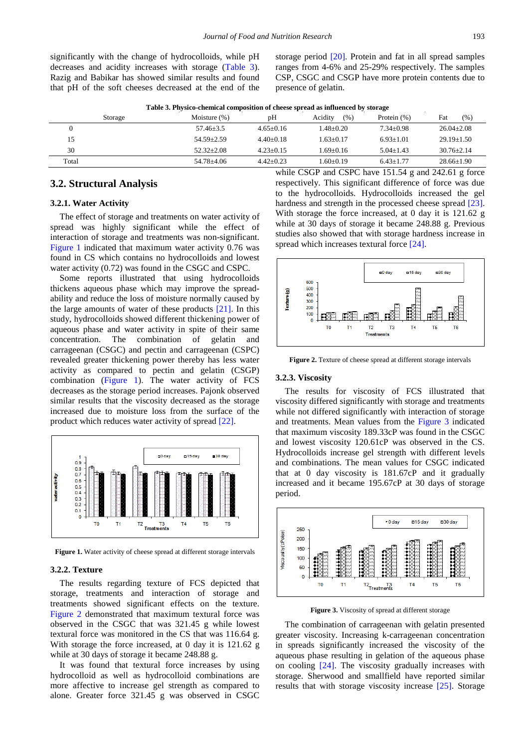significantly with the change of hydrocolloids, while pH decreases and acidity increases with storage [\(Table 3\)](#page-2-0). Razig and Babikar has showed similar results and found that pH of the soft cheeses decreased at the end of the storage period [\[20\].](#page-4-16) Protein and fat in all spread samples ranges from 4-6% and 25-29% respectively. The samples CSP, CSGC and CSGP have more protein contents due to presence of gelatin.

<span id="page-2-0"></span>

| Table 3. Physico-chemical composition of cheese spread as influenced by storage |                 |             |                 |                |                  |  |  |  |
|---------------------------------------------------------------------------------|-----------------|-------------|-----------------|----------------|------------------|--|--|--|
| Storage                                                                         | Moisture $(\%)$ | pΗ          | Acidity<br>(% ) | Protein $(\%)$ | (% )<br>Fat      |  |  |  |
|                                                                                 | $57.46 + 3.5$   | $4.65+0.16$ | $1.48 + 0.20$   | $7.34 + 0.98$  | $26.04 \pm 2.08$ |  |  |  |
| 15                                                                              | $54.59 + 2.59$  | $4.40+0.18$ | $1.63 + 0.17$   | $6.93 + 1.01$  | $29.19 + 1.50$   |  |  |  |
| 30                                                                              | $52.32 + 2.08$  | $4.23+0.15$ | $1.69 + 0.16$   | $5.04 + 1.43$  | $30.76 + 2.14$   |  |  |  |
| Total                                                                           | $54.78 + 4.06$  | $4.42+0.23$ | $1.60+0.19$     | $6.43 + 1.77$  | $28.66+1.90$     |  |  |  |

#### **3.2. Structural Analysis**

#### **3.2.1. Water Activity**

The effect of storage and treatments on water activity of spread was highly significant while the effect of interaction of storage and treatments was non-significant. [Figure 1](#page-2-1) indicated that maximum water activity 0.76 was found in CS which contains no hydrocolloids and lowest water activity (0.72) was found in the CSGC and CSPC.

Some reports illustrated that using hydrocolloids thickens aqueous phase which may improve the spreadability and reduce the loss of moisture normally caused by the large amounts of water of these products [\[21\].](#page-4-17) In this study, hydrocolloids showed different thickening power of aqueous phase and water activity in spite of their same concentration. The combination of gelatin and carrageenan (CSGC) and pectin and carrageenan (CSPC) revealed greater thickening power thereby has less water activity as compared to pectin and gelatin (CSGP) combination [\(Figure 1\)](#page-2-1). The water activity of FCS decreases as the storage period increases. Pajonk observed similar results that the viscosity decreased as the storage increased due to moisture loss from the surface of the product which reduces water activity of spread [\[22\].](#page-4-18)

<span id="page-2-1"></span>

Figure 1. Water activity of cheese spread at different storage intervals

#### **3.2.2. Texture**

The results regarding texture of FCS depicted that storage, treatments and interaction of storage and treatments showed significant effects on the texture. [Figure 2](#page-2-2) demonstrated that maximum textural force was observed in the CSGC that was 321.45 g while lowest textural force was monitored in the CS that was 116.64 g. With storage the force increased, at 0 day it is 121.62 g while at 30 days of storage it became 248.88 g.

It was found that textural force increases by using hydrocolloid as well as hydrocolloid combinations are more affective to increase gel strength as compared to alone. Greater force 321.45 g was observed in CSGC while CSGP and CSPC have 151.54 g and 242.61 g force respectively. This significant difference of force was due to the hydrocolloids. Hydrocolloids increased the gel hardness and strength in the processed cheese spread [\[23\].](#page-4-19) With storage the force increased, at 0 day it is 121.62 g while at 30 days of storage it became 248.88 g. Previous studies also showed that with storage hardness increase in spread which increases textural force [\[24\].](#page-4-20)

<span id="page-2-2"></span>

Figure 2. Texture of cheese spread at different storage intervals

#### **3.2.3. Viscosity**

The results for viscosity of FCS illustrated that viscosity differed significantly with storage and treatments while not differed significantly with interaction of storage and treatments. Mean values from the [Figure 3](#page-2-3) indicated that maximum viscosity 189.33cP was found in the CSGC and lowest viscosity 120.61cP was observed in the CS. Hydrocolloids increase gel strength with different levels and combinations. The mean values for CSGC indicated that at 0 day viscosity is 181.67cP and it gradually increased and it became 195.67cP at 30 days of storage period.

<span id="page-2-3"></span>

**Figure 3.** Viscosity of spread at different storage

The combination of carrageenan with gelatin presented greater viscosity. Increasing k-carrageenan concentration in spreads significantly increased the viscosity of the aqueous phase resulting in gelation of the aqueous phase on cooling [\[24\].](#page-4-20) The viscosity gradually increases with storage. Sherwood and smallfield have reported similar results that with storage viscosity increase [\[25\].](#page-4-21) Storage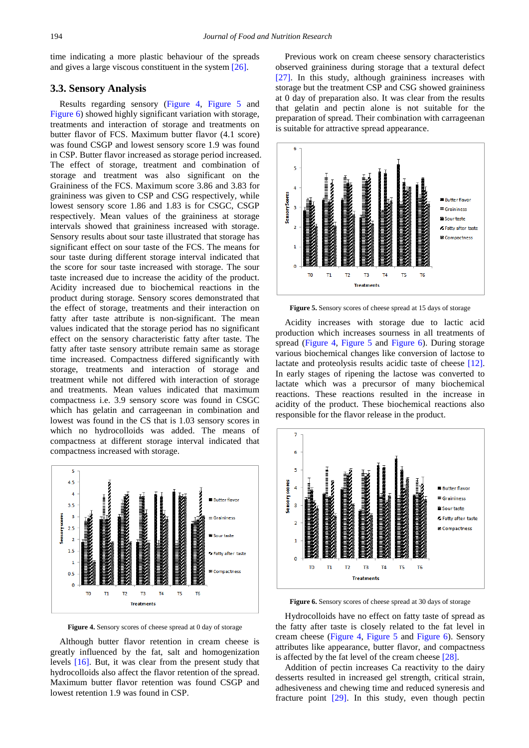time indicating a more plastic behaviour of the spreads and gives a large viscous constituent in the system [\[26\].](#page-4-22)

## **3.3. Sensory Analysis**

Results regarding sensory [\(Figure 4,](#page-3-0) [Figure 5](#page-3-1) and [Figure 6\)](#page-3-2) showed highly significant variation with storage, treatments and interaction of storage and treatments on butter flavor of FCS. Maximum butter flavor (4.1 score) was found CSGP and lowest sensory score 1.9 was found in CSP. Butter flavor increased as storage period increased. The effect of storage, treatment and combination of storage and treatment was also significant on the Graininess of the FCS. Maximum score 3.86 and 3.83 for graininess was given to CSP and CSG respectively, while lowest sensory score 1.86 and 1.83 is for CSGC, CSGP respectively. Mean values of the graininess at storage intervals showed that graininess increased with storage. Sensory results about sour taste illustrated that storage has significant effect on sour taste of the FCS. The means for sour taste during different storage interval indicated that the score for sour taste increased with storage. The sour taste increased due to increase the acidity of the product. Acidity increased due to biochemical reactions in the product during storage. Sensory scores demonstrated that the effect of storage, treatments and their interaction on fatty after taste attribute is non-significant. The mean values indicated that the storage period has no significant effect on the sensory characteristic fatty after taste. The fatty after taste sensory attribute remain same as storage time increased. Compactness differed significantly with storage, treatments and interaction of storage and treatment while not differed with interaction of storage and treatments. Mean values indicated that maximum compactness i.e. 3.9 sensory score was found in CSGC which has gelatin and carrageenan in combination and lowest was found in the CS that is 1.03 sensory scores in which no hydrocolloids was added. The means of compactness at different storage interval indicated that compactness increased with storage.

<span id="page-3-0"></span>

**Figure 4.** Sensory scores of cheese spread at 0 day of storage

Although butter flavor retention in cream cheese is greatly influenced by the fat, salt and homogenization levels [\[16\].](#page-4-12) But, it was clear from the present study that hydrocolloids also affect the flavor retention of the spread. Maximum butter flavor retention was found CSGP and lowest retention 1.9 was found in CSP.

Previous work on cream cheese sensory characteristics observed graininess during storage that a textural defect [\[27\].](#page-4-23) In this study, although graininess increases with storage but the treatment CSP and CSG showed graininess at 0 day of preparation also. It was clear from the results that gelatin and pectin alone is not suitable for the preparation of spread. Their combination with carrageenan is suitable for attractive spread appearance.

<span id="page-3-1"></span>

**Figure 5.** Sensory scores of cheese spread at 15 days of storage

Acidity increases with storage due to lactic acid production which increases sourness in all treatments of spread [\(Figure 4,](#page-3-0) [Figure 5](#page-3-1) and [Figure 6\)](#page-3-2). During storage various biochemical changes like conversion of lactose to lactate and proteolysis results acidic taste of cheese [\[12\].](#page-4-8) In early stages of ripening the lactose was converted to lactate which was a precursor of many biochemical reactions. These reactions resulted in the increase in acidity of the product. These biochemical reactions also responsible for the flavor release in the product.

<span id="page-3-2"></span>

**Figure 6.** Sensory scores of cheese spread at 30 days of storage

Hydrocolloids have no effect on fatty taste of spread as the fatty after taste is closely related to the fat level in cream cheese [\(Figure 4,](#page-3-0) [Figure 5](#page-3-1) and [Figure 6\)](#page-3-2). Sensory attributes like appearance, butter flavor, and compactness is affected by the fat level of the cream cheese [\[28\].](#page-4-24)

Addition of pectin increases Ca reactivity to the dairy desserts resulted in increased gel strength, critical strain, adhesiveness and chewing time and reduced syneresis and fracture point [\[29\].](#page-4-25) In this study, even though pectin